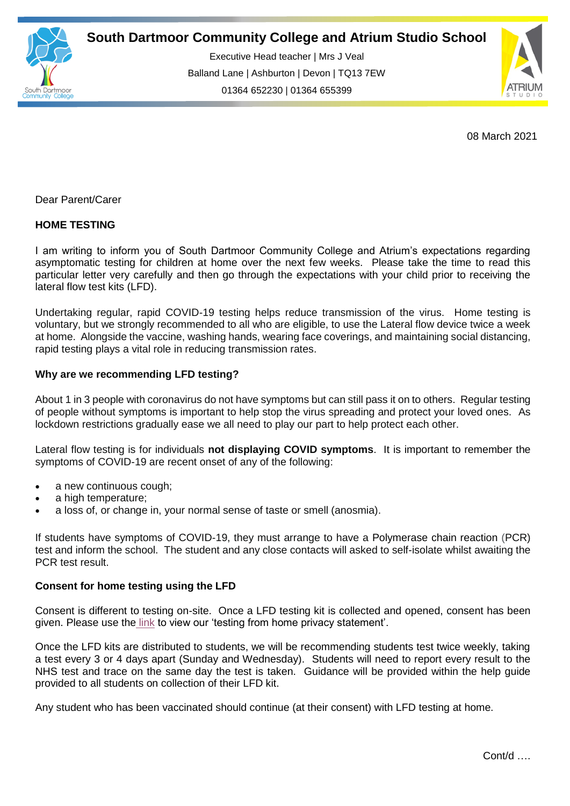

Executive Head teacher | Mrs J Veal Balland Lane | Ashburton | Devon | TQ13 7EW 01364 652230 | 01364 655399

ww.south.uk | [www.atrium-studio.co.uk](http://www.atrium-studio.co.uk/) | www.atrium-studio.co.uk



08 March 2021

Dear Parent/Carer

# **HOME TESTING**

I am writing to inform you of South Dartmoor Community College and Atrium's expectations regarding asymptomatic testing for children at home over the next few weeks. Please take the time to read this particular letter very carefully and then go through the expectations with your child prior to receiving the lateral flow test kits (LFD).

Undertaking regular, rapid COVID-19 testing helps reduce transmission of the virus. Home testing is voluntary, but we strongly recommended to all who are eligible, to use the Lateral flow device twice a week at home. Alongside the vaccine, washing hands, wearing face coverings, and maintaining social distancing, rapid testing plays a vital role in reducing transmission rates.

### **Why are we recommending LFD testing?**

About 1 in 3 people with coronavirus do not have symptoms but can still pass it on to others. Regular testing of people without symptoms is important to help stop the virus spreading and protect your loved ones. As lockdown restrictions gradually ease we all need to play our part to help protect each other.

Lateral flow testing is for individuals **not displaying COVID symptoms**. It is important to remember the symptoms of COVID-19 are recent onset of any of the following:

- a new continuous cough;
- a high temperature;
- a loss of, or change in, your normal sense of taste or smell (anosmia).

If students have symptoms of COVID-19, they must arrange to have a Polymerase chain reaction (PCR) test and inform the school. The student and any close contacts will asked to self-isolate whilst awaiting the PCR test result.

### **Consent for home testing using the LFD**

Consent is different to testing on-site. Once a LFD testing kit is collected and opened, consent has been given. Please use the [link](https://www.southdartmoor.devon.sch.uk/news/?pid=24&nid=3&storyid=177) to view our 'testing from home privacy statement'.

Once the LFD kits are distributed to students, we will be recommending students test twice weekly, taking a test every 3 or 4 days apart (Sunday and Wednesday). Students will need to report every result to the NHS test and trace on the same day the test is taken. Guidance will be provided within the help guide provided to all students on collection of their LFD kit.

Any student who has been vaccinated should continue (at their consent) with LFD testing at home.